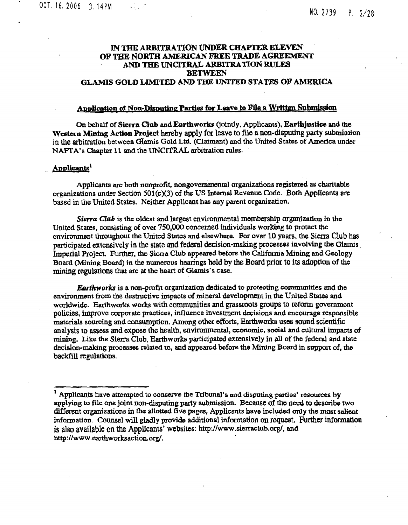# **IN THE ARBITRATION UNDER CHAPTER ELEVEN OF THE NORTH AMERICAN FREE TRADE AGREEMENT AND THE UNCITRAL ARBITRATION RULES BETWEEN GLAMIS GOLD LIMITED AND THE UNITED STATES OF AMERICA**

# **Application of Non-Disputing Parties for Leave to File a Written Submission**

On behalf of **Sierra Club** and **Earthworks** (jointly, Applicants), **Earthjustice** and the **Western Mining Action Project** hereby apply for leave to file a non -disputing party submission in the arbitration between Glamis Gold Ltd. (Claimant) and the United States of America under NAFTA's Chapter 11 and the UNCITRAL arbitration rules.

## **Applicants1**

Applicants are both nonprofit, **nongovernmental** organizations registered as charitable organizations under Section 501(c)(3) of the US Internal Revenue Code. Both Applicants are based in the United States. Neither Applicant has any parent organization.

*Sierra Club* is the oldest and largest environmental **membership organization** in the United States, consisting of over 750,000 concerned individuals working to protect the environment throughout the United States and elsewhere. For over 10 years, the Sierra Club has participated extensively in the state and federal decision -making processes involving the **Glamis ,** Imperial Project. Further, the Sierra Club appeared before the California Mining and Geology Board (Mining Board) in the numerous hearings held by the Board prior to its adoption of the **mining regulations** that arc at the heart of Glamis's case.

Earthworks is a non-profit organization dedicated to protecting communities and the environment from the destructive impacts of mineral development in the United States and worldwide. Earthworks works with communities and grassroots groups to reform government policies, improve corporate practices, influence investment decisions and encourage responsible materials sourcing and consumption. Among other efforts, Earthworks uses sound scientific analysis to assess and expose the health, environmental, coonomic, social and cultural impacts of mining. Like the Sierra Club, Earthworks participated extensively in all of the federal and state decision-making processes related to, and appeared before the Mining Board in support of, the backfill regulations.

 $<sup>1</sup>$  Applicants have attempted to conserve the Tribunal's and disputing parties' resources by</sup> applying to file one joint non-disputing party submission. Because of the need to describe two different organizations in the allotted five pages, Applicants have included only the most salient information. Counsel will gladly provide additional information on request. Further information is also available on the Applicants' websites: http://www.sierraclub.org/, and http://www.earthworksaction.org/.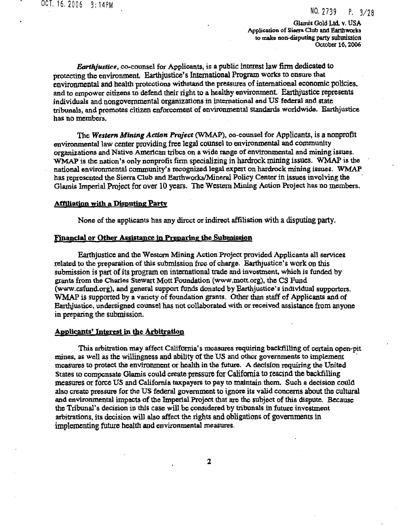Glands Gold Ltd. v. USA **Application of Sierra Club** and Earthworks **to make non-disputing party submission October 16, 2006**

*Earthjustice,* **co-counsel for Applicants,** is a public interest law firm dedicated to protecting the environment, Earthjustice's International Program works to ensure that environmental and health protections withstand the pressures of **international economic policies.** and to empower citizens to defend their right to a healthy environment. **Earthjustice represents individuals and nongovernmental organizations in** international and US federal and state tribunals, and promotes citizen enforcement of environmental standards worldwide. Earthjustice has no members.

The *Western Mining Action Project* (WMAP), co-counsel for Applicants, is **a nonprofit** environmental law center providing free legal counsel to environmental and community organizations and Native American tribes on a wide range of environmental and mining issues\_ WMAP is the nation's only nonprofit firm specializing in hardrock mining issues. WMAP is the national environmental community's recognized legal expert on hardrock mining issues. WMAP has represented the Sierra Club and Earthworks/Mineral Policy Center in issues involving the Glamis Imperial Project for over 10 years. The Western Mining Action Project has no members.

## **Affiliation with a Disputing Party**

None of the applicants has any direct or indirect affiliation **with a disputing party.**

## **Financial or Other Assistance in Preparing the Submission**

Earthjustice and the Western Mining Action Project provided Applicants all services related to the preparation of this submission free of charge. **Earthjustice's work on this** submission is part of its program on international trade and investment, which is funded by grants from the **Charles** Stewart Mott Foundation (www.mott.org), the CS Fund (www.csfund.org), and general support funds donated by Earthjustice's individual supporters. WMAP is supported by a variety of foundation grants. Other than staff of Applicants and of Earthjustice, undersigned counsel has not collaborated with or received **assistance from anyone** in preparing the submission.

#### **Applicants' interest in tie Arbitration**

This arbitration may affect California's measures requiring backfilling of certain open-pit mines, as well *as* the willingness and ability of the US and other governments to implement measures to protect the environment or health in the future. A decision requiring the United states to compensate Glamis could create pressure for California to rescind the backfilling measures or force US and California taxpayers to pay to maintain them. Such a decision could also create pressure for the US federal government to ignore its valid **concerns about the cultural** and environmental impacts of the Imperial Project that are the subject of this dispute. Because the Tribunal's decision in this case will be considered by tribunals in future investment arbitrations, its decision will also affect the rights **and obligations of governments** in implementing future health and environmental measures,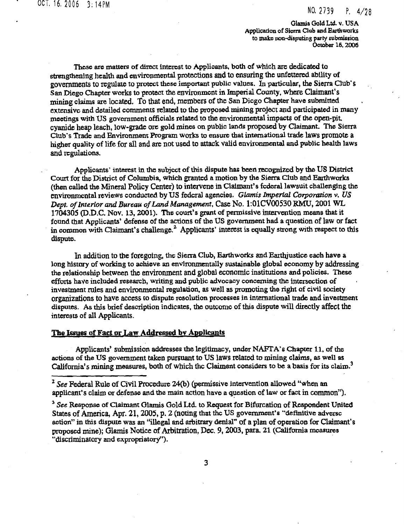**Glamis Gold Ltd. v. USA Application of Sierra Club and Earthworks to make non-disputing party submission October 16. 2006**

These are matters of direct interest to Applicants, both of which are dedicated to strengthening health and environmental protections and to ensuring the unfettered ability of governments to regulate to protect these important public values. In particular, the Sierra Club's San Diego Chapter works to protect the environment in Imperial County, where Claimant's mining claims are located. To that end, members of the San Diego Chapter have submitted extensive and detailed comments related to the proposed mining project and participated in many meetings with US government officials related to the environmental impacts of the open-pit cyanide heap leach, low-grade ore gold mines on public **lands** proposed by Claimant. The Sierra Club's Trade and Environment Program works to ensure that international trade laws promote a higher quality of life for all and are not used to attack valid environmental and public health laws and regulations.

Applicants' interest in the subject of this dispute has been recognized by the US District Court for the District of Columbia, which granted a motion by the Sierra Club and Earthworks (then called the Mineral Policy Center) to intervene in Claimant's federal lawsuit challenging the environmental reviews conducted by US federal agencies. *Glamis Imperial Corporation v. US Dept. of Interior and Bureau of Land Management,* Case **No. 1:01CV00530 RMU, 2001 WL** 1704305 (D.D.C. Nov. 13, 2001). The court's grant of permissive intervention means that it found that Applicants' defense of the actions of the US government had a question of law or fact in common with Claimant's challenge. $2$  Applicants' interest is equally strong with respect to this dispute.

In addition to the foregoing, the Sierra Club, Earthworks and Earthjustice each have a long history of working to achieve an environmentally sustainable global economy by addressing the relationship between the environment arid global economic institutions and policies. These efforts have included research, writing and public advocacy concerning the intersection of investment rules and environmental regulation, as well as promoting the right of *civil* society organizations to have access t<sup>o</sup> dispute resolution processes in international trade and investment disputes. As this brief description indicates, the outcome of this dispute will directly affect the interests of all Applicants.

#### **The Issues of Fact or Law Addressed by Applicants**

Applicants' submission addresses the legitimacy, under NAFTA's Chapter 11, of the actions of the US government taken pursuant to US laws related to mining claims, *as* well as California's mining measures, both of which the Claimant considers to be a basis for its claim.<sup>3</sup>

<sup>2</sup> *See* Federal Rule of Civil Procedure 24(b) (permissive intervention allowed "when an applicant's claim or defense and the main action have a question of law or fact in common").

<sup>3</sup> *See* Response of Claimant Glamis Gold Ltd. to Request for Bifurcation of Respondent United States of America, Apr. 21, 2005, p. 2 (noting that the US government's "definitive adverse action" in this dispute was an "illegal and arbitrary denial" of a plan of operation for Claimant's proposed mine); Glamis Notice of Arbitration, Dec. 9, 2003, para. 21 (California measures "discriminatory and expropriatory").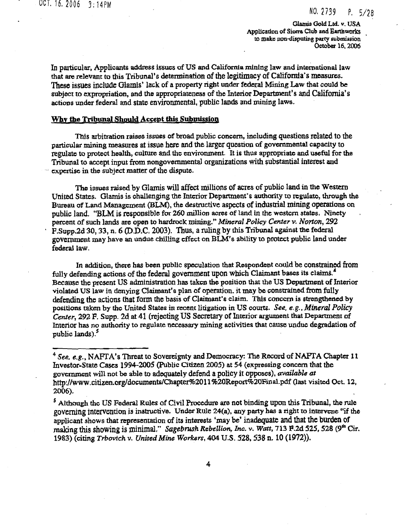Glamis Gold Ltd. v. USA Application of **Sierra Club and** Earthworks to make non-disputing party submission October 16, 2006

In particular, Applicants address issues of US and California mining law and international law that are relevant to this Tribunal's determination of the legitimacy of California's measures. **These issues include Glamis' lack of a** property right under federal Mining Law that could be subject to expropriation, and the appropriateness of the Interior Department's **and California's** actions under federal and state environmental, public lands and mining laws.

## **Why the Tribunal Should Accept this Submission**

This arbitration raises issues of broad public concern, including **questions related to the** particular mining measures at **issue here and the larger** question of governmental capacity to regulate to protect health, culture and the environment. It is thus appropriate and useful for the Tribunal to accept input from nongovernmental organizations with substantial interest and expertise in the subject matter of the dispute.

The issues raised by Glamis will affect millions of acres of public land in the Western United States. Glamis is challenging the Interior Department's authority to regulate, through the Bureau of Land Management (BLM), the destructive aspects of industrial mining operations on public land. "BLM is responsible for 260 million acres of land in the western states, Ninety *percent* of such *lands are* open to hardrock mining." *Mineral Policy Center v. Norton,* 292 <sup>F</sup>.Supp.2d 30, 33, *n.* **6 (D.D.C. 2003). Thus,** a ruling by this Tribunal against the federal government may have an undue chilling effect on BLM's ability to protect public land under federal law.

In addition, there has *been* public speculation that Respondent could be constrained from fully defending actions of the federal government upon which Claimant bases its claims.<sup>4</sup> Because the present US administration has taken the position that the US Department of Interior violated US *law* in denying Claimant's plan of operation. it may be constrained from fully defending the actions that form the basis of Claimant's claim. This concern is strengthened by positions taken by the United States in recent litigation in **US courts.** *See, e. g. , Mineral Policy Center,* 292 P. Supp. 2d at 41 (rejecting US Secretary of Interior argument that Department of Interior has no authority to regulate necessary mining activities that cause undue degradation of public lands).<sup>5</sup>

<sup>5</sup> Although the *US Federal Rules of Civil Procedure are not binding upon this Tribunal, the rule* governing intervention is instructive. Under Rule 24(a), any party has a right to Intervene "if the applicant shows that representation of its interests 'may be' **inadequate and that the burden of** making this showing is minimal," *Sagebrush Rebellion, Inc. v. Watt, 713 P.2d 525, 528* (9<sup>th</sup> Cir. 1983) (citing *Trbovich v. United Mine Workers,* 404. U.S. **528, 538 n. 10 (1972)).**

<sup>4</sup>*See, e.g.,* NAFTA's Threat to Sovereignty and Democracy: The Record of NAFTA Chapter 11 Investor-State Cases 1994-2005 (Public Citizen 2005) at 54 (expressing concern that the government will not be able to adequately defend a policy it opposes), *available at* http://www.citizen.org/documents/Chapter%2011%20Report%20Final.pdf (last visited Oct. 12, 2006).